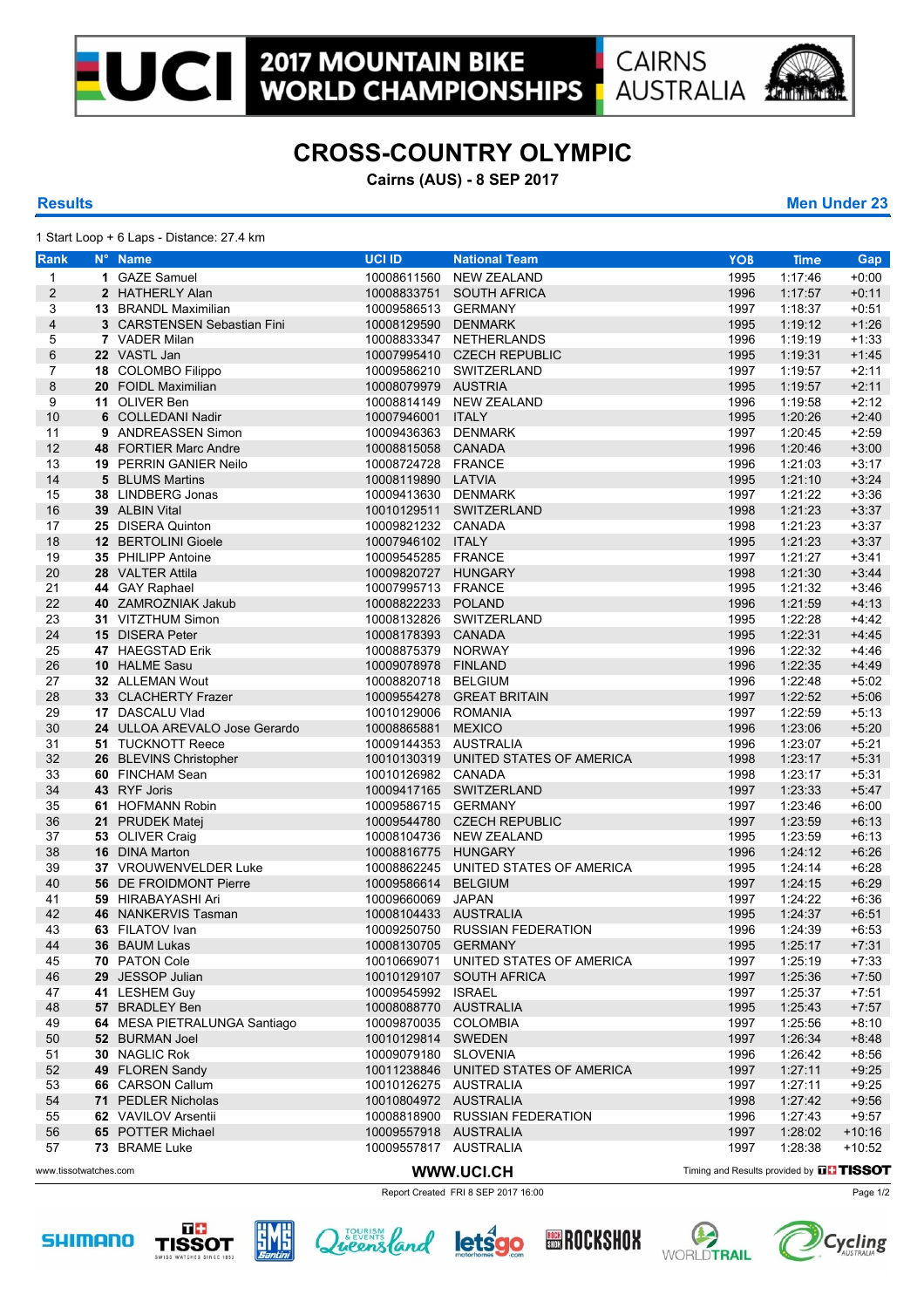**WORLD CHAMPIONSHIPS** 

**AUSTRALIA** 



## **CROSS-COUNTRY OLYMPIC**

**Cairns (AUS) - 8 SEP 2017**

1 Start Loop + 6 Laps - Distance: 27.4 km

|                | $\frac{1}{2}$ |                     |
|----------------|---------------|---------------------|
| <b>Results</b> |               | <b>Men Under 23</b> |

| Rank                    | N° Name                       | <b>UCI ID</b>         | <b>National Team</b>                 | <b>YOB</b>                                       | <b>Time</b> | Gap      |
|-------------------------|-------------------------------|-----------------------|--------------------------------------|--------------------------------------------------|-------------|----------|
| $\mathbf{1}$            | 1 GAZE Samuel                 |                       | 10008611560 NEW ZEALAND              | 1995                                             | 1:17:46     | $+0:00$  |
| $\overline{\mathbf{c}}$ | 2 HATHERLY Alan               |                       | 10008833751 SOUTH AFRICA             | 1996                                             | 1:17:57     | $+0:11$  |
| 3                       | <b>13 BRANDL Maximilian</b>   | 10009586513 GERMANY   |                                      | 1997                                             | 1:18:37     | $+0.51$  |
| $\overline{\mathbf{4}}$ | 3 CARSTENSEN Sebastian Fini   | 10008129590 DENMARK   |                                      | 1995                                             | 1:19:12     | $+1:26$  |
| 5                       | 7 VADER Milan                 |                       | 10008833347 NETHERLANDS              | 1996                                             | 1:19:19     | $+1:33$  |
| 6                       | 22 VASTL Jan                  |                       | 10007995410 CZECH REPUBLIC           | 1995                                             | 1:19:31     | $+1:45$  |
| $\overline{7}$          | 18 COLOMBO Filippo            |                       | 10009586210 SWITZERLAND              | 1997                                             | 1:19:57     | $+2:11$  |
| 8                       | 20 FOIDL Maximilian           | 10008079979 AUSTRIA   |                                      | 1995                                             | 1:19:57     | $+2:11$  |
| 9                       | 11 OLIVER Ben                 |                       | 10008814149 NEW ZEALAND              | 1996                                             | 1:19:58     | $+2:12$  |
| 10                      | 6 COLLEDANI Nadir             | 10007946001 ITALY     |                                      | 1995                                             | 1:20:26     | $+2:40$  |
| 11                      | 9 ANDREASSEN Simon            | 10009436363 DENMARK   |                                      | 1997                                             | 1:20:45     | $+2:59$  |
| 12                      | 48 FORTIER Marc Andre         | 10008815058 CANADA    |                                      | 1996                                             | 1:20:46     | $+3.00$  |
| 13                      | <b>19 PERRIN GANIER Neilo</b> | 10008724728 FRANCE    |                                      | 1996                                             | 1:21:03     | $+3:17$  |
| 14                      | 5 BLUMS Martins               | 10008119890 LATVIA    |                                      | 1995                                             | 1:21:10     | $+3:24$  |
| 15                      | 38 LINDBERG Jonas             | 10009413630 DENMARK   |                                      | 1997                                             | 1:21:22     | $+3:36$  |
| 16                      | 39 ALBIN Vital                |                       | 10010129511 SWITZERLAND              | 1998                                             | 1:21:23     | $+3:37$  |
| 17                      | 25 DISERA Quinton             | 10009821232 CANADA    |                                      | 1998                                             | 1:21:23     | $+3.37$  |
| 18                      | 12 BERTOLINI Gioele           | 10007946102 ITALY     |                                      | 1995                                             | 1:21:23     | $+3:37$  |
| 19                      | 35 PHILIPP Antoine            | 10009545285 FRANCE    |                                      | 1997                                             | 1:21:27     | $+3.41$  |
| 20                      | 28 VALTER Attila              | 10009820727 HUNGARY   |                                      | 1998                                             | 1:21:30     | $+3.44$  |
| 21                      | 44 GAY Raphael                | 10007995713 FRANCE    |                                      | 1995                                             | 1:21:32     | $+3:46$  |
| 22                      | 40 ZAMROZNIAK Jakub           | 10008822233 POLAND    |                                      | 1996                                             | 1:21:59     | $+4:13$  |
| 23                      | 31 VITZTHUM Simon             |                       | 10008132826 SWITZERLAND              | 1995                                             | 1.22:28     | $+4:42$  |
| 24                      | 15 DISERA Peter               | 10008178393 CANADA    |                                      | 1995                                             | 1:22:31     | $+4:45$  |
| 25                      | 47 HAEGSTAD Erik              | 10008875379 NORWAY    |                                      | 1996                                             | 1:22:32     | $+4.46$  |
| 26                      | 10 HALME Sasu                 | 10009078978 FINLAND   |                                      | 1996                                             | 1:22:35     | $+4:49$  |
| 27                      | 32 ALLEMAN Wout               | 10008820718 BELGIUM   |                                      | 1996                                             | 1:22:48     | $+5:02$  |
| 28                      | 33 CLACHERTY Frazer           |                       | 10009554278 GREAT BRITAIN            | 1997                                             | 1:22:52     | $+5.06$  |
| 29                      | 17 DASCALU Vlad               | 10010129006 ROMANIA   |                                      | 1997                                             | 1:22:59     | $+5:13$  |
| 30                      | 24 ULLOA AREVALO Jose Gerardo | 10008865881 MEXICO    |                                      | 1996                                             | 1:23:06     | $+5:20$  |
| 31                      | 51 TUCKNOTT Reece             | 10009144353 AUSTRALIA |                                      | 1996                                             | 1:23:07     | $+5:21$  |
| 32                      | 26 BLEVINS Christopher        |                       | 10010130319 UNITED STATES OF AMERICA | 1998                                             | 1:23:17     | $+5:31$  |
| 33                      | 60 FINCHAM Sean               | 10010126982 CANADA    |                                      | 1998                                             | 1:23:17     | $+5.31$  |
| 34                      | 43 RYF Joris                  |                       | 10009417165 SWITZERLAND              | 1997                                             | 1:23:33     | $+5.47$  |
| 35                      | 61 HOFMANN Robin              | 10009586715 GERMANY   |                                      | 1997                                             | 1:23:46     | $+6:00$  |
| 36                      | 21 PRUDEK Matej               |                       | 10009544780 CZECH REPUBLIC           | 1997                                             | 1:23:59     | $+6:13$  |
| 37                      | 53 OLIVER Craig               |                       | 10008104736 NEW ZEALAND              | 1995                                             | 1:23:59     | $+6:13$  |
| 38                      | 16 DINA Marton                | 10008816775 HUNGARY   |                                      | 1996                                             | 1:24:12     | $+6:26$  |
| 39                      | 37 VROUWENVELDER Luke         |                       | 10008862245 UNITED STATES OF AMERICA | 1995                                             | 1:24:14     | $+6:28$  |
| 40                      | 56 DE FROIDMONT Pierre        | 10009586614 BELGIUM   |                                      | 1997                                             | 1:24:15     | $+6.29$  |
| 41                      | 59 HIRABAYASHI Ari            | 10009660069 JAPAN     |                                      | 1997                                             | 1:24:22     | $+6:36$  |
| 42                      | 46 NANKERVIS Tasman           | 10008104433 AUSTRALIA |                                      | 1995                                             | 1:24:37     | $+6.51$  |
| 43                      | 63 FILATOV Ivan               |                       | 10009250750 RUSSIAN FEDERATION       | 1996                                             | 1:24:39     | $+6.53$  |
| 44                      | 36 BAUM Lukas                 | 10008130705 GERMANY   |                                      | 1995                                             | 1:25:17     | $+7:31$  |
| 45                      | 70 PATON Cole                 |                       | 10010669071 UNITED STATES OF AMERICA | 1997                                             | 1:25:19     | $+7.33$  |
| 46                      | 29 JESSOP Julian              |                       | 10010129107 SOUTH AFRICA             | 1997                                             | 1:25:36     | $+7:50$  |
| 47                      | 41 LESHEM Guy                 | 10009545992 ISRAEL    |                                      | 1997                                             | 1:25:37     | $+7:51$  |
| 48                      | 57 BRADLEY Ben                | 10008088770 AUSTRALIA |                                      | 1995                                             | 1:25:43     | $+7:57$  |
| 49                      | 64 MESA PIETRALUNGA Santiago  | 10009870035 COLOMBIA  |                                      | 1997                                             | 1:25:56     | $+8:10$  |
| 50                      | 52 BURMAN Joel                | 10010129814 SWEDEN    |                                      | 1997                                             | 1:26:34     | $+8:48$  |
| 51                      | 30 NAGLIC Rok                 | 10009079180 SLOVENIA  |                                      | 1996                                             | 1:26:42     | $+8:56$  |
| 52                      | 49 FLOREN Sandy               |                       | 10011238846 UNITED STATES OF AMERICA | 1997                                             | 1:27:11     | $+9:25$  |
| 53                      | 66 CARSON Callum              | 10010126275 AUSTRALIA |                                      | 1997                                             | 1.27:11     | $+9.25$  |
| 54                      | 71 PEDLER Nicholas            | 10010804972 AUSTRALIA |                                      | 1998                                             | 1:27:42     | $+9:56$  |
| 55                      | 62 VAVILOV Arsentii           |                       | 10008818900 RUSSIAN FEDERATION       | 1996                                             | 1:27:43     | $+9.57$  |
| 56                      | 65 POTTER Michael             | 10009557918 AUSTRALIA |                                      | 1997                                             | 1:28:02     | $+10:16$ |
| 57                      | 73 BRAME Luke                 | 10009557817 AUSTRALIA |                                      | 1997                                             | 1:28:38     | $+10:52$ |
| www.tissotwatches.com   |                               |                       | WWW.UCI.CH                           | Timing and Results provided by <b>THE TISSOT</b> |             |          |
|                         |                               |                       |                                      |                                                  |             |          |

Report Created FRI 8 SEP 2017 16:00